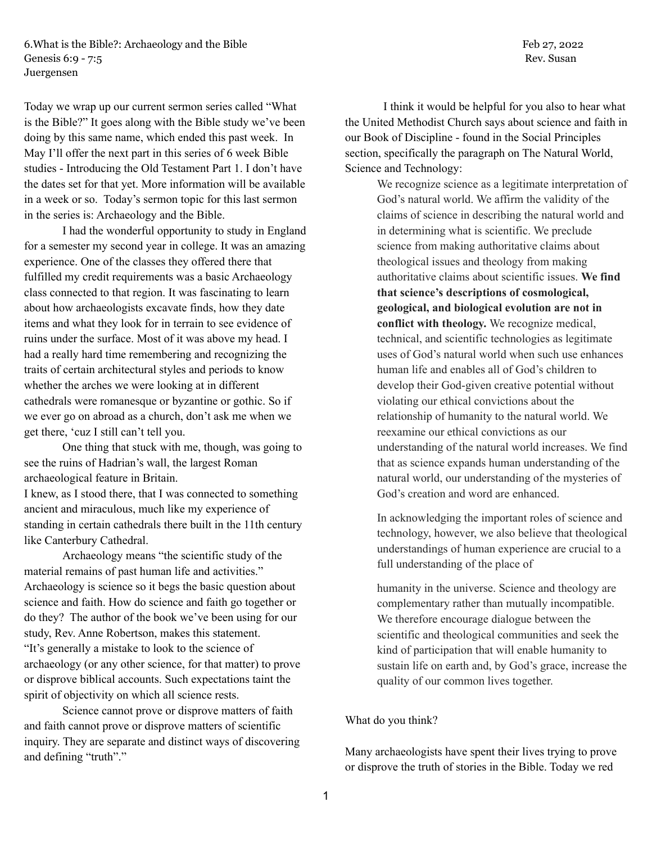6. What is the Bible?: Archaeology and the Bible Feb 27, 2022 Genesis 6:9 - 7:5 Rev. Susan Juergensen

Today we wrap up our current sermon series called "What is the Bible?" It goes along with the Bible study we've been doing by this same name, which ended this past week. In May I'll offer the next part in this series of 6 week Bible studies - Introducing the Old Testament Part 1. I don't have the dates set for that yet. More information will be available in a week or so. Today's sermon topic for this last sermon in the series is: Archaeology and the Bible.

I had the wonderful opportunity to study in England for a semester my second year in college. It was an amazing experience. One of the classes they offered there that fulfilled my credit requirements was a basic Archaeology class connected to that region. It was fascinating to learn about how archaeologists excavate finds, how they date items and what they look for in terrain to see evidence of ruins under the surface. Most of it was above my head. I had a really hard time remembering and recognizing the traits of certain architectural styles and periods to know whether the arches we were looking at in different cathedrals were romanesque or byzantine or gothic. So if we ever go on abroad as a church, don't ask me when we get there, 'cuz I still can't tell you.

One thing that stuck with me, though, was going to see the ruins of Hadrian's wall, the largest Roman archaeological feature in Britain.

I knew, as I stood there, that I was connected to something ancient and miraculous, much like my experience of standing in certain cathedrals there built in the 11th century like Canterbury Cathedral.

Archaeology means "the scientific study of the material remains of past human life and activities." Archaeology is science so it begs the basic question about science and faith. How do science and faith go together or do they? The author of the book we've been using for our study, Rev. Anne Robertson, makes this statement. "It's generally a mistake to look to the science of archaeology (or any other science, for that matter) to prove or disprove biblical accounts. Such expectations taint the spirit of objectivity on which all science rests.

Science cannot prove or disprove matters of faith and faith cannot prove or disprove matters of scientific inquiry. They are separate and distinct ways of discovering and defining "truth"."

I think it would be helpful for you also to hear what the United Methodist Church says about science and faith in our Book of Discipline - found in the Social Principles section, specifically the paragraph on The Natural World, Science and Technology:

> We recognize science as a legitimate interpretation of God's natural world. We affirm the validity of the claims of science in describing the natural world and in determining what is scientific. We preclude science from making authoritative claims about theological issues and theology from making authoritative claims about scientific issues. **We find that science's descriptions of cosmological, geological, and biological evolution are not in conflict with theology.** We recognize medical, technical, and scientific technologies as legitimate uses of God's natural world when such use enhances human life and enables all of God's children to develop their God-given creative potential without violating our ethical convictions about the relationship of humanity to the natural world. We reexamine our ethical convictions as our understanding of the natural world increases. We find that as science expands human understanding of the natural world, our understanding of the mysteries of God's creation and word are enhanced.

> In acknowledging the important roles of science and technology, however, we also believe that theological understandings of human experience are crucial to a full understanding of the place of

> humanity in the universe. Science and theology are complementary rather than mutually incompatible. We therefore encourage dialogue between the scientific and theological communities and seek the kind of participation that will enable humanity to sustain life on earth and, by God's grace, increase the quality of our common lives together.

## What do you think?

Many archaeologists have spent their lives trying to prove or disprove the truth of stories in the Bible. Today we red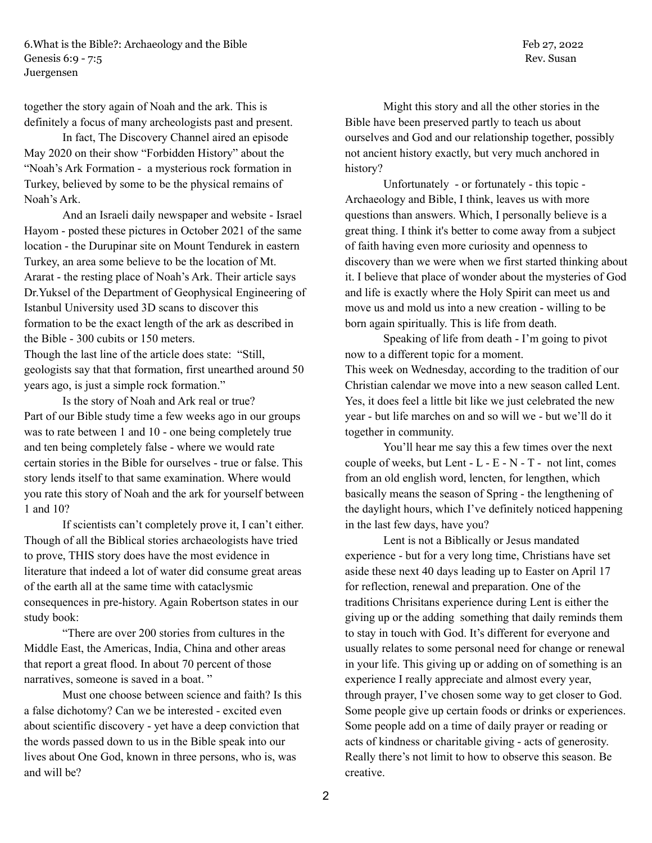6. What is the Bible?: Archaeology and the Bible Feb 27, 2022 Genesis 6:9 - 7:5 Rev. Susan Juergensen

together the story again of Noah and the ark. This is definitely a focus of many archeologists past and present.

In fact, The Discovery Channel aired an episode May 2020 on their show "Forbidden History" about the "Noah's Ark Formation - a mysterious rock formation in Turkey, believed by some to be the physical remains of Noah's Ark.

And an Israeli daily newspaper and website - Israel Hayom - posted these pictures in October 2021 of the same location - the Durupinar site on Mount Tendurek in eastern Turkey, an area some believe to be the location of Mt. Ararat - the resting place of Noah's Ark. Their article says Dr.Yuksel of the Department of Geophysical Engineering of Istanbul University used 3D scans to discover this formation to be the exact length of the ark as described in the Bible - 300 cubits or 150 meters.

Though the last line of the article does state: "Still, geologists say that that formation, first unearthed around 50 years ago, is just a simple rock formation."

Is the story of Noah and Ark real or true? Part of our Bible study time a few weeks ago in our groups was to rate between 1 and 10 - one being completely true and ten being completely false - where we would rate certain stories in the Bible for ourselves - true or false. This story lends itself to that same examination. Where would you rate this story of Noah and the ark for yourself between 1 and 10?

If scientists can't completely prove it, I can't either. Though of all the Biblical stories archaeologists have tried to prove, THIS story does have the most evidence in literature that indeed a lot of water did consume great areas of the earth all at the same time with cataclysmic consequences in pre-history. Again Robertson states in our study book:

"There are over 200 stories from cultures in the Middle East, the Americas, India, China and other areas that report a great flood. In about 70 percent of those narratives, someone is saved in a boat. "

Must one choose between science and faith? Is this a false dichotomy? Can we be interested - excited even about scientific discovery - yet have a deep conviction that the words passed down to us in the Bible speak into our lives about One God, known in three persons, who is, was and will be?

Might this story and all the other stories in the Bible have been preserved partly to teach us about ourselves and God and our relationship together, possibly not ancient history exactly, but very much anchored in history?

Unfortunately - or fortunately - this topic - Archaeology and Bible, I think, leaves us with more questions than answers. Which, I personally believe is a great thing. I think it's better to come away from a subject of faith having even more curiosity and openness to discovery than we were when we first started thinking about it. I believe that place of wonder about the mysteries of God and life is exactly where the Holy Spirit can meet us and move us and mold us into a new creation - willing to be born again spiritually. This is life from death.

Speaking of life from death - I'm going to pivot now to a different topic for a moment. This week on Wednesday, according to the tradition of our Christian calendar we move into a new season called Lent. Yes, it does feel a little bit like we just celebrated the new year - but life marches on and so will we - but we'll do it together in community.

You'll hear me say this a few times over the next couple of weeks, but Lent - L - E - N - T - not lint, comes from an old english word, lencten, for lengthen, which basically means the season of Spring - the lengthening of the daylight hours, which I've definitely noticed happening in the last few days, have you?

Lent is not a Biblically or Jesus mandated experience - but for a very long time, Christians have set aside these next 40 days leading up to Easter on April 17 for reflection, renewal and preparation. One of the traditions Chrisitans experience during Lent is either the giving up or the adding something that daily reminds them to stay in touch with God. It's different for everyone and usually relates to some personal need for change or renewal in your life. This giving up or adding on of something is an experience I really appreciate and almost every year, through prayer, I've chosen some way to get closer to God. Some people give up certain foods or drinks or experiences. Some people add on a time of daily prayer or reading or acts of kindness or charitable giving - acts of generosity. Really there's not limit to how to observe this season. Be creative.